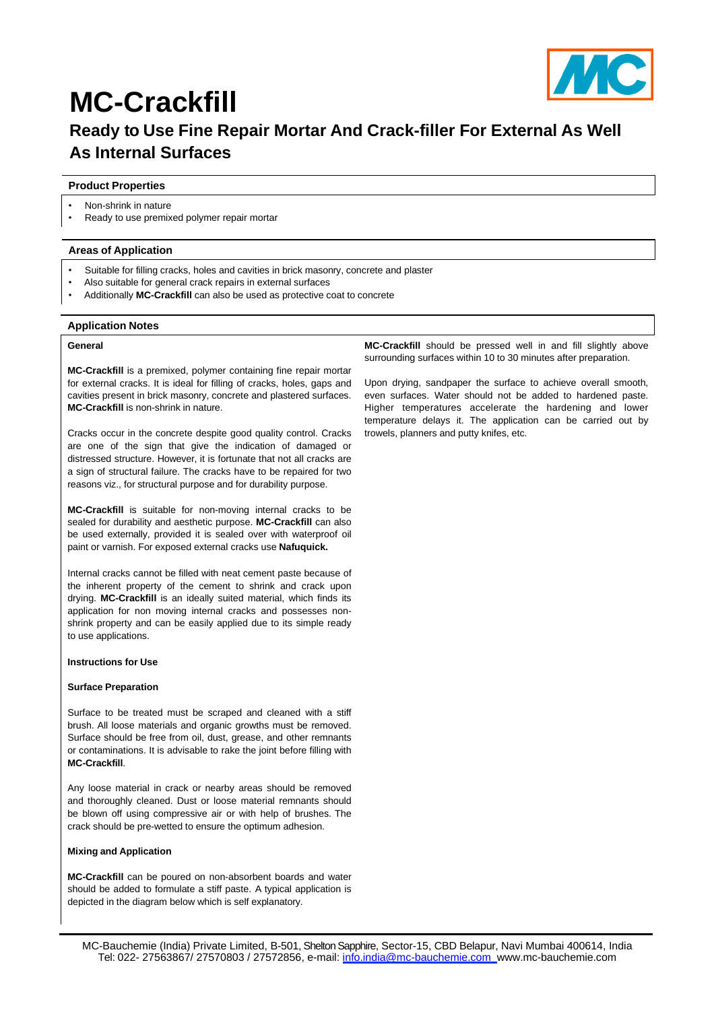

# **MC-Crackfill Ready to Use Fine Repair Mortar And Crack-filler For External As Well As Internal Surfaces**

### **Product Properties**

- Non-shrink in nature
- Ready to use premixed polymer repair mortar

### **Areas of Application**

- Suitable for filling cracks, holes and cavities in brick masonry, concrete and plaster
- Also suitable for general crack repairs in external surfaces
- Additionally **MC-Crackfill** can also be used as protective coat to concrete

#### **Application Notes**

#### **General**

**MC-Crackfill** is a premixed, polymer containing fine repair mortar for external cracks. It is ideal for filling of cracks, holes, gaps and cavities present in brick masonry, concrete and plastered surfaces. **MC-Crackfill** is non-shrink in nature.

Cracks occur in the concrete despite good quality control. Cracks are one of the sign that give the indication of damaged or distressed structure. However, it is fortunate that not all cracks are a sign of structural failure. The cracks have to be repaired for two reasons viz., for structural purpose and for durability purpose.

**MC-Crackfill** is suitable for non-moving internal cracks to be sealed for durability and aesthetic purpose. **MC-Crackfill** can also be used externally, provided it is sealed over with waterproof oil paint or varnish. For exposed external cracks use **Nafuquick.**

Internal cracks cannot be filled with neat cement paste because of the inherent property of the cement to shrink and crack upon drying. **MC-Crackfill** is an ideally suited material, which finds its application for non moving internal cracks and possesses nonshrink property and can be easily applied due to its simple ready to use applications.

#### **Instructions for Use**

#### **Surface Preparation**

Surface to be treated must be scraped and cleaned with a stiff brush. All loose materials and organic growths must be removed. Surface should be free from oil, dust, grease, and other remnants or contaminations. It is advisable to rake the joint before filling with **MC-Crackfill**.

Any loose material in crack or nearby areas should be removed and thoroughly cleaned. Dust or loose material remnants should be blown off using compressive air or with help of brushes. The crack should be pre-wetted to ensure the optimum adhesion.

#### **Mixing and Application**

**MC-Crackfill** can be poured on non-absorbent boards and water should be added to formulate a stiff paste. A typical application is depicted in the diagram below which is self explanatory.

**MC-Crackfill** should be pressed well in and fill slightly above surrounding surfaces within 10 to 30 minutes after preparation.

Upon drying, sandpaper the surface to achieve overall smooth, even surfaces. Water should not be added to hardened paste. Higher temperatures accelerate the hardening and lower temperature delays it. The application can be carried out by trowels, planners and putty knifes, etc.